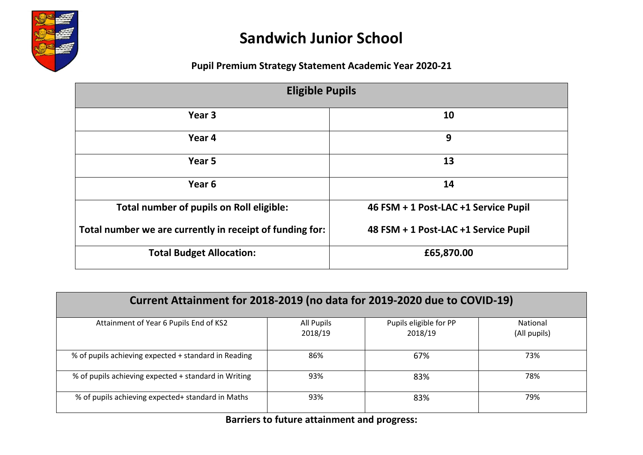

## **Sandwich Junior School**

## **Pupil Premium Strategy Statement Academic Year 2020-21**

| <b>Eligible Pupils</b>                                   |                                      |  |  |  |
|----------------------------------------------------------|--------------------------------------|--|--|--|
| Year 3                                                   | 10                                   |  |  |  |
| Year 4                                                   | 9                                    |  |  |  |
| Year 5                                                   | 13                                   |  |  |  |
| Year <sub>6</sub>                                        | 14                                   |  |  |  |
| Total number of pupils on Roll eligible:                 | 46 FSM + 1 Post-LAC +1 Service Pupil |  |  |  |
| Total number we are currently in receipt of funding for: | 48 FSM + 1 Post-LAC +1 Service Pupil |  |  |  |
| <b>Total Budget Allocation:</b>                          | £65,870.00                           |  |  |  |

| Current Attainment for 2018-2019 (no data for 2019-2020 due to COVID-19) |                       |                                   |                          |  |  |  |
|--------------------------------------------------------------------------|-----------------------|-----------------------------------|--------------------------|--|--|--|
| Attainment of Year 6 Pupils End of KS2                                   | All Pupils<br>2018/19 | Pupils eligible for PP<br>2018/19 | National<br>(All pupils) |  |  |  |
| % of pupils achieving expected + standard in Reading                     | 86%                   | 67%                               | 73%                      |  |  |  |
| % of pupils achieving expected + standard in Writing                     | 93%                   | 83%                               | 78%                      |  |  |  |
| % of pupils achieving expected+ standard in Maths                        | 93%                   | 83%                               | 79%                      |  |  |  |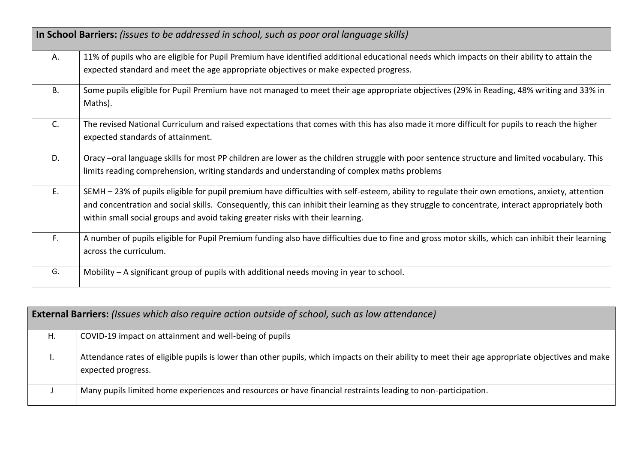|           | In School Barriers: (issues to be addressed in school, such as poor oral language skills)                                                                                                                                                                                                                                                                                           |
|-----------|-------------------------------------------------------------------------------------------------------------------------------------------------------------------------------------------------------------------------------------------------------------------------------------------------------------------------------------------------------------------------------------|
| Α.        | 11% of pupils who are eligible for Pupil Premium have identified additional educational needs which impacts on their ability to attain the<br>expected standard and meet the age appropriate objectives or make expected progress.                                                                                                                                                  |
| <b>B.</b> | Some pupils eligible for Pupil Premium have not managed to meet their age appropriate objectives (29% in Reading, 48% writing and 33% in                                                                                                                                                                                                                                            |
|           | Maths).                                                                                                                                                                                                                                                                                                                                                                             |
| C.        | The revised National Curriculum and raised expectations that comes with this has also made it more difficult for pupils to reach the higher<br>expected standards of attainment.                                                                                                                                                                                                    |
| D.        | Oracy –oral language skills for most PP children are lower as the children struggle with poor sentence structure and limited vocabulary. This<br>limits reading comprehension, writing standards and understanding of complex maths problems                                                                                                                                        |
| E.        | SEMH - 23% of pupils eligible for pupil premium have difficulties with self-esteem, ability to regulate their own emotions, anxiety, attention<br>and concentration and social skills. Consequently, this can inhibit their learning as they struggle to concentrate, interact appropriately both<br>within small social groups and avoid taking greater risks with their learning. |
| F.        | A number of pupils eligible for Pupil Premium funding also have difficulties due to fine and gross motor skills, which can inhibit their learning<br>across the curriculum.                                                                                                                                                                                                         |
| G.        | Mobility $-$ A significant group of pupils with additional needs moving in year to school.                                                                                                                                                                                                                                                                                          |

|    | <b>External Barriers:</b> (Issues which also require action outside of school, such as low attendance)                                                                 |
|----|------------------------------------------------------------------------------------------------------------------------------------------------------------------------|
| Η. | COVID-19 impact on attainment and well-being of pupils                                                                                                                 |
|    | Attendance rates of eligible pupils is lower than other pupils, which impacts on their ability to meet their age appropriate objectives and make<br>expected progress. |
|    | Many pupils limited home experiences and resources or have financial restraints leading to non-participation.                                                          |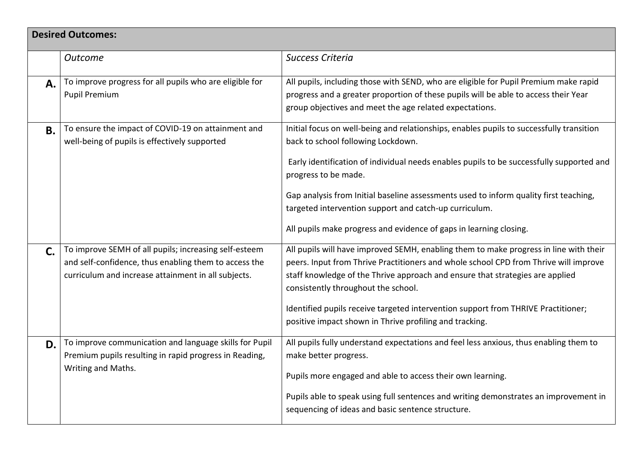|                | <b>Desired Outcomes:</b>                                                                                                                                              |                                                                                                                                                                                                                                                                                                                                                                                                                                                                             |
|----------------|-----------------------------------------------------------------------------------------------------------------------------------------------------------------------|-----------------------------------------------------------------------------------------------------------------------------------------------------------------------------------------------------------------------------------------------------------------------------------------------------------------------------------------------------------------------------------------------------------------------------------------------------------------------------|
|                | <b>Outcome</b>                                                                                                                                                        | <b>Success Criteria</b>                                                                                                                                                                                                                                                                                                                                                                                                                                                     |
| A.             | To improve progress for all pupils who are eligible for<br><b>Pupil Premium</b>                                                                                       | All pupils, including those with SEND, who are eligible for Pupil Premium make rapid<br>progress and a greater proportion of these pupils will be able to access their Year<br>group objectives and meet the age related expectations.                                                                                                                                                                                                                                      |
| <b>B.</b>      | To ensure the impact of COVID-19 on attainment and<br>well-being of pupils is effectively supported                                                                   | Initial focus on well-being and relationships, enables pupils to successfully transition<br>back to school following Lockdown.<br>Early identification of individual needs enables pupils to be successfully supported and<br>progress to be made.<br>Gap analysis from Initial baseline assessments used to inform quality first teaching,<br>targeted intervention support and catch-up curriculum.<br>All pupils make progress and evidence of gaps in learning closing. |
| $\mathsf{C}$ . | To improve SEMH of all pupils; increasing self-esteem<br>and self-confidence, thus enabling them to access the<br>curriculum and increase attainment in all subjects. | All pupils will have improved SEMH, enabling them to make progress in line with their<br>peers. Input from Thrive Practitioners and whole school CPD from Thrive will improve<br>staff knowledge of the Thrive approach and ensure that strategies are applied<br>consistently throughout the school.<br>Identified pupils receive targeted intervention support from THRIVE Practitioner;<br>positive impact shown in Thrive profiling and tracking.                       |
| D.             | To improve communication and language skills for Pupil<br>Premium pupils resulting in rapid progress in Reading,<br>Writing and Maths.                                | All pupils fully understand expectations and feel less anxious, thus enabling them to<br>make better progress.<br>Pupils more engaged and able to access their own learning.<br>Pupils able to speak using full sentences and writing demonstrates an improvement in<br>sequencing of ideas and basic sentence structure.                                                                                                                                                   |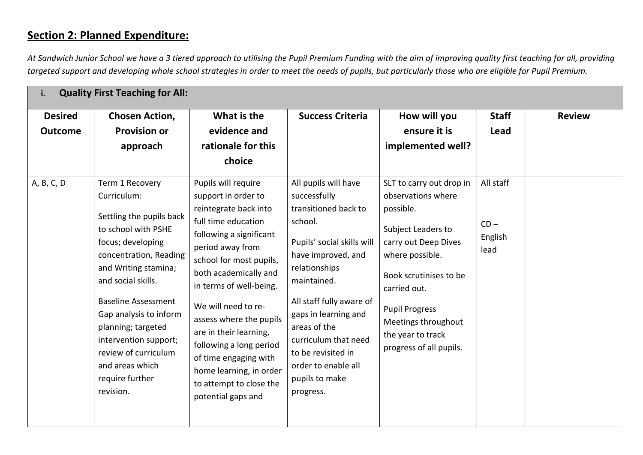## **Section 2: Planned Expenditure:**

*At Sandwich Junior School we have a 3 tiered approach to utilising the Pupil Premium Funding with the aim of improving quality first teaching for all, providing targeted support and developing whole school strategies in order to meet the needs of pupils, but particularly those who are eligible for Pupil Premium.*

| i.                               | <b>Quality First Teaching for All:</b>                                                                                                                                                                                                                                                                                                                           |                                                                                                                                                                                                                                                                                                                                                                                                                                      |                                                                                                                                                                                                                                                                                                                                     |                                                                                                                                                                                                                                                                        |                                        |               |
|----------------------------------|------------------------------------------------------------------------------------------------------------------------------------------------------------------------------------------------------------------------------------------------------------------------------------------------------------------------------------------------------------------|--------------------------------------------------------------------------------------------------------------------------------------------------------------------------------------------------------------------------------------------------------------------------------------------------------------------------------------------------------------------------------------------------------------------------------------|-------------------------------------------------------------------------------------------------------------------------------------------------------------------------------------------------------------------------------------------------------------------------------------------------------------------------------------|------------------------------------------------------------------------------------------------------------------------------------------------------------------------------------------------------------------------------------------------------------------------|----------------------------------------|---------------|
| <b>Desired</b><br><b>Outcome</b> | <b>Chosen Action,</b><br><b>Provision or</b><br>approach                                                                                                                                                                                                                                                                                                         | What is the<br>evidence and<br>rationale for this<br>choice                                                                                                                                                                                                                                                                                                                                                                          | <b>Success Criteria</b>                                                                                                                                                                                                                                                                                                             | How will you<br>ensure it is<br>implemented well?                                                                                                                                                                                                                      | <b>Staff</b><br>Lead                   | <b>Review</b> |
| A, B, C, D                       | Term 1 Recovery<br>Curriculum:<br>Settling the pupils back<br>to school with PSHE<br>focus; developing<br>concentration, Reading<br>and Writing stamina;<br>and social skills.<br><b>Baseline Assessment</b><br>Gap analysis to inform<br>planning; targeted<br>intervention support;<br>review of curriculum<br>and areas which<br>require further<br>revision. | Pupils will require<br>support in order to<br>reintegrate back into<br>full time education<br>following a significant<br>period away from<br>school for most pupils,<br>both academically and<br>in terms of well-being.<br>We will need to re-<br>assess where the pupils<br>are in their learning,<br>following a long period<br>of time engaging with<br>home learning, in order<br>to attempt to close the<br>potential gaps and | All pupils will have<br>successfully<br>transitioned back to<br>school.<br>Pupils' social skills will<br>have improved, and<br>relationships<br>maintained.<br>All staff fully aware of<br>gaps in learning and<br>areas of the<br>curriculum that need<br>to be revisited in<br>order to enable all<br>pupils to make<br>progress. | SLT to carry out drop in<br>observations where<br>possible.<br>Subject Leaders to<br>carry out Deep Dives<br>where possible.<br>Book scrutinises to be<br>carried out.<br><b>Pupil Progress</b><br>Meetings throughout<br>the year to track<br>progress of all pupils. | All staff<br>$CD -$<br>English<br>lead |               |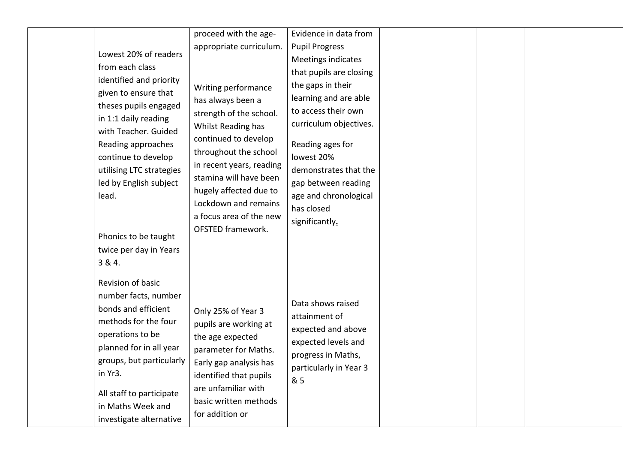| Lowest 20% of readers<br>from each class<br>identified and priority<br>given to ensure that<br>theses pupils engaged<br>in 1:1 daily reading<br>with Teacher. Guided<br>Reading approaches<br>continue to develop<br>utilising LTC strategies<br>led by English subject<br>lead.<br>Phonics to be taught<br>twice per day in Years<br>3 & 4. | proceed with the age-<br>appropriate curriculum.<br>Writing performance<br>has always been a<br>strength of the school.<br>Whilst Reading has<br>continued to develop<br>throughout the school<br>in recent years, reading<br>stamina will have been<br>hugely affected due to<br>Lockdown and remains<br>a focus area of the new<br>OFSTED framework. | Evidence in data from<br><b>Pupil Progress</b><br>Meetings indicates<br>that pupils are closing<br>the gaps in their<br>learning and are able<br>to access their own<br>curriculum objectives.<br>Reading ages for<br>lowest 20%<br>demonstrates that the<br>gap between reading<br>age and chronological<br>has closed<br>significantly. |  |  |
|----------------------------------------------------------------------------------------------------------------------------------------------------------------------------------------------------------------------------------------------------------------------------------------------------------------------------------------------|--------------------------------------------------------------------------------------------------------------------------------------------------------------------------------------------------------------------------------------------------------------------------------------------------------------------------------------------------------|-------------------------------------------------------------------------------------------------------------------------------------------------------------------------------------------------------------------------------------------------------------------------------------------------------------------------------------------|--|--|
| Revision of basic<br>number facts, number<br>bonds and efficient<br>methods for the four<br>operations to be<br>planned for in all year<br>groups, but particularly<br>in Yr3.<br>All staff to participate<br>in Maths Week and<br>investigate alternative                                                                                   | Only 25% of Year 3<br>pupils are working at<br>the age expected<br>parameter for Maths.<br>Early gap analysis has<br>identified that pupils<br>are unfamiliar with<br>basic written methods<br>for addition or                                                                                                                                         | Data shows raised<br>attainment of<br>expected and above<br>expected levels and<br>progress in Maths,<br>particularly in Year 3<br>& 5                                                                                                                                                                                                    |  |  |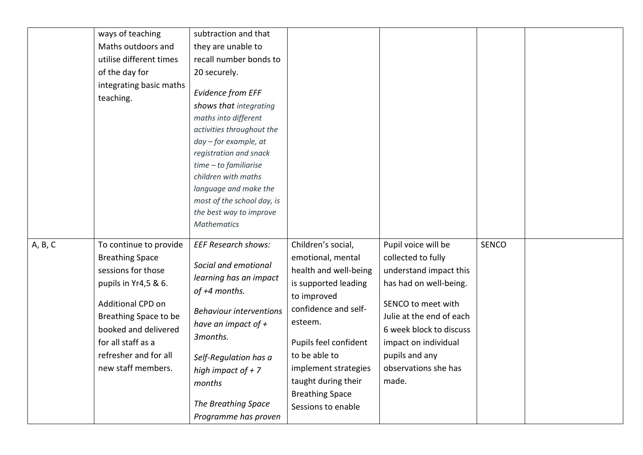|         | ways of teaching<br>Maths outdoors and<br>utilise different times<br>of the day for<br>integrating basic maths<br>teaching.                                                                                                               | subtraction and that<br>they are unable to<br>recall number bonds to<br>20 securely.<br><b>Evidence from EFF</b><br>shows that integrating<br>maths into different<br>activities throughout the<br>day - for example, at<br>registration and snack<br>$time - to familiarise$<br>children with maths<br>language and make the<br>most of the school day, is<br>the best way to improve<br><b>Mathematics</b> |                                                                                                                                                                                                                                                                                     |                                                                                                                                                                                                                                                       |              |  |
|---------|-------------------------------------------------------------------------------------------------------------------------------------------------------------------------------------------------------------------------------------------|--------------------------------------------------------------------------------------------------------------------------------------------------------------------------------------------------------------------------------------------------------------------------------------------------------------------------------------------------------------------------------------------------------------|-------------------------------------------------------------------------------------------------------------------------------------------------------------------------------------------------------------------------------------------------------------------------------------|-------------------------------------------------------------------------------------------------------------------------------------------------------------------------------------------------------------------------------------------------------|--------------|--|
| A, B, C | To continue to provide<br><b>Breathing Space</b><br>sessions for those<br>pupils in Yr4,5 & 6.<br>Additional CPD on<br>Breathing Space to be<br>booked and delivered<br>for all staff as a<br>refresher and for all<br>new staff members. | <b>EEF Research shows:</b><br>Social and emotional<br>learning has an impact<br>of +4 months.<br><b>Behaviour interventions</b><br>have an impact of $+$<br>3months.<br>Self-Regulation has a<br>high impact of $+ 7$<br>months<br>The Breathing Space<br>Programme has proven                                                                                                                               | Children's social,<br>emotional, mental<br>health and well-being<br>is supported leading<br>to improved<br>confidence and self-<br>esteem.<br>Pupils feel confident<br>to be able to<br>implement strategies<br>taught during their<br><b>Breathing Space</b><br>Sessions to enable | Pupil voice will be<br>collected to fully<br>understand impact this<br>has had on well-being.<br>SENCO to meet with<br>Julie at the end of each<br>6 week block to discuss<br>impact on individual<br>pupils and any<br>observations she has<br>made. | <b>SENCO</b> |  |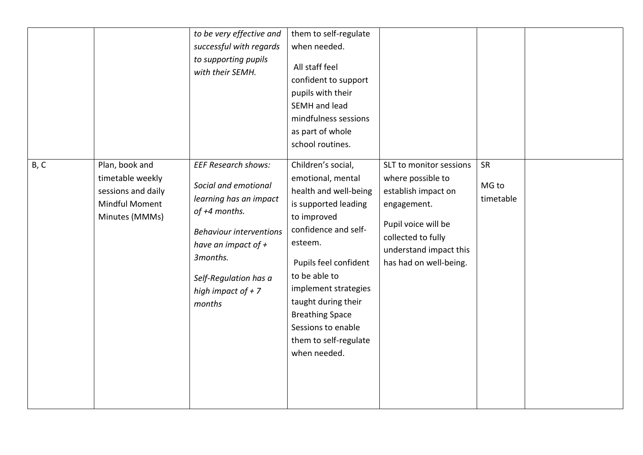|      |                                                                                                     | to be very effective and<br>successful with regards<br>to supporting pupils<br>with their SEMH.                                                                                                                                 | them to self-regulate<br>when needed.<br>All staff feel<br>confident to support<br>pupils with their<br>SEMH and lead<br>mindfulness sessions<br>as part of whole<br>school routines.                                                                                                                                        |                                                                                                                                                                                     |                          |  |
|------|-----------------------------------------------------------------------------------------------------|---------------------------------------------------------------------------------------------------------------------------------------------------------------------------------------------------------------------------------|------------------------------------------------------------------------------------------------------------------------------------------------------------------------------------------------------------------------------------------------------------------------------------------------------------------------------|-------------------------------------------------------------------------------------------------------------------------------------------------------------------------------------|--------------------------|--|
| B, C | Plan, book and<br>timetable weekly<br>sessions and daily<br><b>Mindful Moment</b><br>Minutes (MMMs) | <b>EEF Research shows:</b><br>Social and emotional<br>learning has an impact<br>of +4 months.<br><b>Behaviour interventions</b><br>have an impact of $+$<br>3months.<br>Self-Regulation has a<br>high impact of $+ 7$<br>months | Children's social,<br>emotional, mental<br>health and well-being<br>is supported leading<br>to improved<br>confidence and self-<br>esteem.<br>Pupils feel confident<br>to be able to<br>implement strategies<br>taught during their<br><b>Breathing Space</b><br>Sessions to enable<br>them to self-regulate<br>when needed. | SLT to monitor sessions<br>where possible to<br>establish impact on<br>engagement.<br>Pupil voice will be<br>collected to fully<br>understand impact this<br>has had on well-being. | SR<br>MG to<br>timetable |  |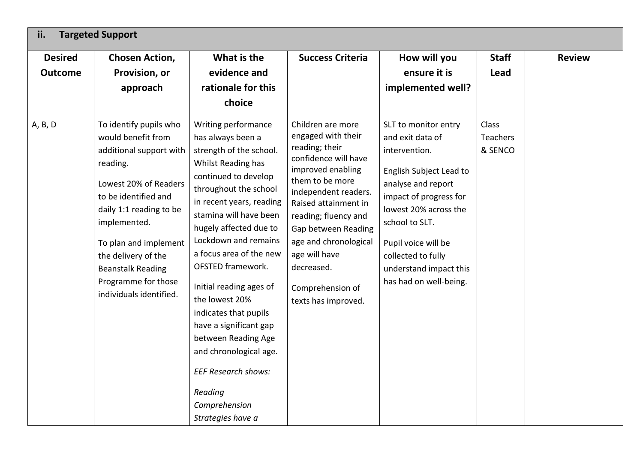| ii.<br><b>Targeted Support</b>                                                                                                                                                                                                                                                                                           |                                                                                                                                                                                                                                                                                                                                                                                                                                                                                          |                                                                                                                                                                                                                                                                                                                             |                                                                                                                                                                                                                                                                                  |                              |               |
|--------------------------------------------------------------------------------------------------------------------------------------------------------------------------------------------------------------------------------------------------------------------------------------------------------------------------|------------------------------------------------------------------------------------------------------------------------------------------------------------------------------------------------------------------------------------------------------------------------------------------------------------------------------------------------------------------------------------------------------------------------------------------------------------------------------------------|-----------------------------------------------------------------------------------------------------------------------------------------------------------------------------------------------------------------------------------------------------------------------------------------------------------------------------|----------------------------------------------------------------------------------------------------------------------------------------------------------------------------------------------------------------------------------------------------------------------------------|------------------------------|---------------|
| <b>Desired</b><br><b>Chosen Action,</b>                                                                                                                                                                                                                                                                                  | What is the                                                                                                                                                                                                                                                                                                                                                                                                                                                                              | <b>Success Criteria</b>                                                                                                                                                                                                                                                                                                     | How will you                                                                                                                                                                                                                                                                     | <b>Staff</b>                 | <b>Review</b> |
| Provision, or<br><b>Outcome</b>                                                                                                                                                                                                                                                                                          | evidence and                                                                                                                                                                                                                                                                                                                                                                                                                                                                             |                                                                                                                                                                                                                                                                                                                             | ensure it is                                                                                                                                                                                                                                                                     | Lead                         |               |
| approach                                                                                                                                                                                                                                                                                                                 | rationale for this                                                                                                                                                                                                                                                                                                                                                                                                                                                                       |                                                                                                                                                                                                                                                                                                                             | implemented well?                                                                                                                                                                                                                                                                |                              |               |
|                                                                                                                                                                                                                                                                                                                          | choice                                                                                                                                                                                                                                                                                                                                                                                                                                                                                   |                                                                                                                                                                                                                                                                                                                             |                                                                                                                                                                                                                                                                                  |                              |               |
| To identify pupils who<br>A, B, D<br>would benefit from<br>additional support with<br>reading.<br>Lowest 20% of Readers<br>to be identified and<br>daily 1:1 reading to be<br>implemented.<br>To plan and implement<br>the delivery of the<br><b>Beanstalk Reading</b><br>Programme for those<br>individuals identified. | Writing performance<br>has always been a<br>strength of the school.<br>Whilst Reading has<br>continued to develop<br>throughout the school<br>in recent years, reading<br>stamina will have been<br>hugely affected due to<br>Lockdown and remains<br>a focus area of the new<br><b>OFSTED framework.</b><br>Initial reading ages of<br>the lowest 20%<br>indicates that pupils<br>have a significant gap<br>between Reading Age<br>and chronological age.<br><b>EEF Research shows:</b> | Children are more<br>engaged with their<br>reading; their<br>confidence will have<br>improved enabling<br>them to be more<br>independent readers.<br>Raised attainment in<br>reading; fluency and<br>Gap between Reading<br>age and chronological<br>age will have<br>decreased.<br>Comprehension of<br>texts has improved. | SLT to monitor entry<br>and exit data of<br>intervention.<br>English Subject Lead to<br>analyse and report<br>impact of progress for<br>lowest 20% across the<br>school to SLT.<br>Pupil voice will be<br>collected to fully<br>understand impact this<br>has had on well-being. | Class<br>Teachers<br>& SENCO |               |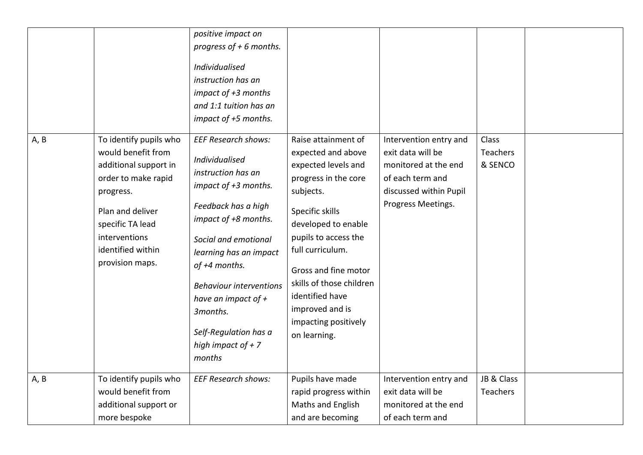|      |                                                                                                                                                                                                            | positive impact on<br>progress of $+6$ months.<br>Individualised<br>instruction has an<br>impact of +3 months<br>and 1:1 tuition has an<br>impact of +5 months.                                                                                                                                                                               |                                                                                                                                                                                                                                                                                                                               |                                                                                                                                         |                                            |  |
|------|------------------------------------------------------------------------------------------------------------------------------------------------------------------------------------------------------------|-----------------------------------------------------------------------------------------------------------------------------------------------------------------------------------------------------------------------------------------------------------------------------------------------------------------------------------------------|-------------------------------------------------------------------------------------------------------------------------------------------------------------------------------------------------------------------------------------------------------------------------------------------------------------------------------|-----------------------------------------------------------------------------------------------------------------------------------------|--------------------------------------------|--|
| A, B | To identify pupils who<br>would benefit from<br>additional support in<br>order to make rapid<br>progress.<br>Plan and deliver<br>specific TA lead<br>interventions<br>identified within<br>provision maps. | <b>EEF Research shows:</b><br>Individualised<br>instruction has an<br>impact of +3 months.<br>Feedback has a high<br>impact of +8 months.<br>Social and emotional<br>learning has an impact<br>of +4 months.<br><b>Behaviour interventions</b><br>have an impact of $+$<br>3months.<br>Self-Regulation has a<br>high impact of $+7$<br>months | Raise attainment of<br>expected and above<br>expected levels and<br>progress in the core<br>subjects.<br>Specific skills<br>developed to enable<br>pupils to access the<br>full curriculum.<br>Gross and fine motor<br>skills of those children<br>identified have<br>improved and is<br>impacting positively<br>on learning. | Intervention entry and<br>exit data will be<br>monitored at the end<br>of each term and<br>discussed within Pupil<br>Progress Meetings. | <b>Class</b><br><b>Teachers</b><br>& SENCO |  |
| A, B | To identify pupils who<br>would benefit from<br>additional support or<br>more bespoke                                                                                                                      | <b>EEF Research shows:</b>                                                                                                                                                                                                                                                                                                                    | Pupils have made<br>rapid progress within<br>Maths and English<br>and are becoming                                                                                                                                                                                                                                            | Intervention entry and<br>exit data will be<br>monitored at the end<br>of each term and                                                 | JB & Class<br><b>Teachers</b>              |  |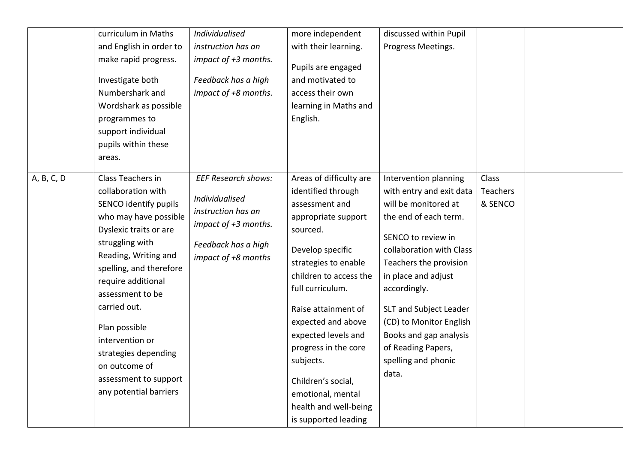|            | curriculum in Maths<br>and English in order to<br>make rapid progress.<br>Investigate both<br>Numbershark and<br>Wordshark as possible<br>programmes to<br>support individual<br>pupils within these<br>areas.                                                                                                                                                                      | Individualised<br>instruction has an<br>impact of +3 months.<br>Feedback has a high<br>impact of +8 months.                              | more independent<br>with their learning.<br>Pupils are engaged<br>and motivated to<br>access their own<br>learning in Maths and<br>English.                                                                                                                                                                                                                                                       | discussed within Pupil<br>Progress Meetings.                                                                                                                                                                                                                                                                                                               |                              |  |
|------------|-------------------------------------------------------------------------------------------------------------------------------------------------------------------------------------------------------------------------------------------------------------------------------------------------------------------------------------------------------------------------------------|------------------------------------------------------------------------------------------------------------------------------------------|---------------------------------------------------------------------------------------------------------------------------------------------------------------------------------------------------------------------------------------------------------------------------------------------------------------------------------------------------------------------------------------------------|------------------------------------------------------------------------------------------------------------------------------------------------------------------------------------------------------------------------------------------------------------------------------------------------------------------------------------------------------------|------------------------------|--|
| A, B, C, D | Class Teachers in<br>collaboration with<br>SENCO identify pupils<br>who may have possible<br>Dyslexic traits or are<br>struggling with<br>Reading, Writing and<br>spelling, and therefore<br>require additional<br>assessment to be<br>carried out.<br>Plan possible<br>intervention or<br>strategies depending<br>on outcome of<br>assessment to support<br>any potential barriers | <b>EEF Research shows:</b><br>Individualised<br>instruction has an<br>impact of +3 months.<br>Feedback has a high<br>impact of +8 months | Areas of difficulty are<br>identified through<br>assessment and<br>appropriate support<br>sourced.<br>Develop specific<br>strategies to enable<br>children to access the<br>full curriculum.<br>Raise attainment of<br>expected and above<br>expected levels and<br>progress in the core<br>subjects.<br>Children's social,<br>emotional, mental<br>health and well-being<br>is supported leading | Intervention planning<br>with entry and exit data<br>will be monitored at<br>the end of each term.<br>SENCO to review in<br>collaboration with Class<br>Teachers the provision<br>in place and adjust<br>accordingly.<br>SLT and Subject Leader<br>(CD) to Monitor English<br>Books and gap analysis<br>of Reading Papers,<br>spelling and phonic<br>data. | Class<br>Teachers<br>& SENCO |  |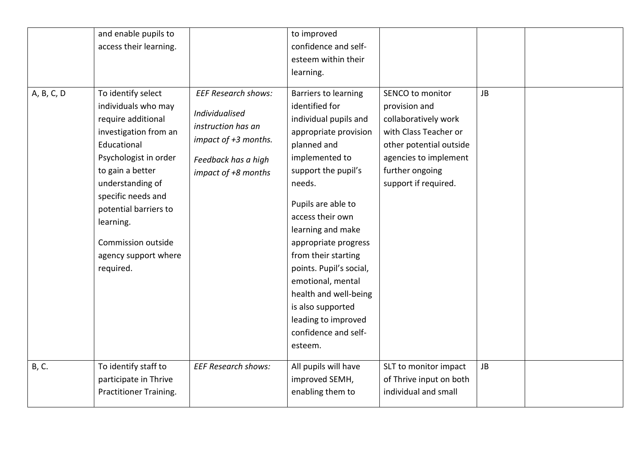|            | and enable pupils to<br>access their learning.                                                                                                                                                                                                                                                  |                                                                                                                                          | to improved<br>confidence and self-<br>esteem within their<br>learning.                                                                                                                                                                                                                                                                                                                                                          |                                                                                                                                                                                   |           |  |
|------------|-------------------------------------------------------------------------------------------------------------------------------------------------------------------------------------------------------------------------------------------------------------------------------------------------|------------------------------------------------------------------------------------------------------------------------------------------|----------------------------------------------------------------------------------------------------------------------------------------------------------------------------------------------------------------------------------------------------------------------------------------------------------------------------------------------------------------------------------------------------------------------------------|-----------------------------------------------------------------------------------------------------------------------------------------------------------------------------------|-----------|--|
| A, B, C, D | To identify select<br>individuals who may<br>require additional<br>investigation from an<br>Educational<br>Psychologist in order<br>to gain a better<br>understanding of<br>specific needs and<br>potential barriers to<br>learning.<br>Commission outside<br>agency support where<br>required. | <b>EEF Research shows:</b><br>Individualised<br>instruction has an<br>impact of +3 months.<br>Feedback has a high<br>impact of +8 months | Barriers to learning<br>identified for<br>individual pupils and<br>appropriate provision<br>planned and<br>implemented to<br>support the pupil's<br>needs.<br>Pupils are able to<br>access their own<br>learning and make<br>appropriate progress<br>from their starting<br>points. Pupil's social,<br>emotional, mental<br>health and well-being<br>is also supported<br>leading to improved<br>confidence and self-<br>esteem. | SENCO to monitor<br>provision and<br>collaboratively work<br>with Class Teacher or<br>other potential outside<br>agencies to implement<br>further ongoing<br>support if required. | <b>JB</b> |  |
| B, C.      | To identify staff to<br>participate in Thrive<br>Practitioner Training.                                                                                                                                                                                                                         | <b>EEF Research shows:</b>                                                                                                               | All pupils will have<br>improved SEMH,<br>enabling them to                                                                                                                                                                                                                                                                                                                                                                       | SLT to monitor impact<br>of Thrive input on both<br>individual and small                                                                                                          | JB        |  |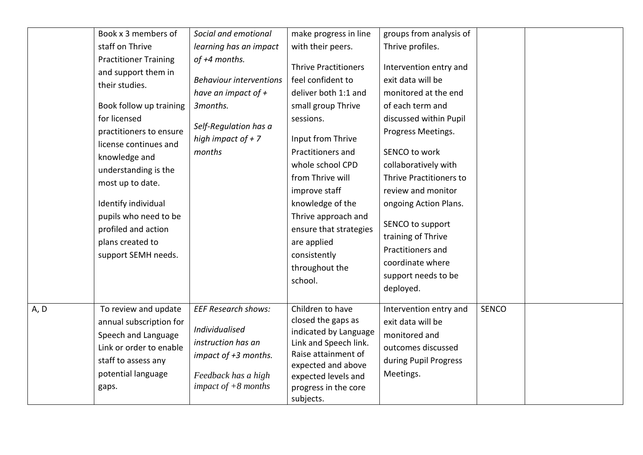|      | Book x 3 members of<br>staff on Thrive<br><b>Practitioner Training</b><br>and support them in<br>their studies.<br>Book follow up training<br>for licensed<br>practitioners to ensure<br>license continues and<br>knowledge and<br>understanding is the<br>most up to date.<br>Identify individual<br>pupils who need to be<br>profiled and action<br>plans created to<br>support SEMH needs. | Social and emotional<br>learning has an impact<br>of +4 months.<br><b>Behaviour interventions</b><br>have an impact of $+$<br>3months.<br>Self-Regulation has a<br>high impact of $+ 7$<br>months | make progress in line<br>with their peers.<br><b>Thrive Practitioners</b><br>feel confident to<br>deliver both 1:1 and<br>small group Thrive<br>sessions.<br>Input from Thrive<br>Practitioners and<br>whole school CPD<br>from Thrive will<br>improve staff<br>knowledge of the<br>Thrive approach and<br>ensure that strategies<br>are applied<br>consistently<br>throughout the<br>school. | groups from analysis of<br>Thrive profiles.<br>Intervention entry and<br>exit data will be<br>monitored at the end<br>of each term and<br>discussed within Pupil<br>Progress Meetings.<br>SENCO to work<br>collaboratively with<br>Thrive Practitioners to<br>review and monitor<br>ongoing Action Plans.<br>SENCO to support<br>training of Thrive<br>Practitioners and<br>coordinate where<br>support needs to be<br>deployed. |              |  |
|------|-----------------------------------------------------------------------------------------------------------------------------------------------------------------------------------------------------------------------------------------------------------------------------------------------------------------------------------------------------------------------------------------------|---------------------------------------------------------------------------------------------------------------------------------------------------------------------------------------------------|-----------------------------------------------------------------------------------------------------------------------------------------------------------------------------------------------------------------------------------------------------------------------------------------------------------------------------------------------------------------------------------------------|----------------------------------------------------------------------------------------------------------------------------------------------------------------------------------------------------------------------------------------------------------------------------------------------------------------------------------------------------------------------------------------------------------------------------------|--------------|--|
| A, D | To review and update<br>annual subscription for<br>Speech and Language<br>Link or order to enable<br>staff to assess any<br>potential language<br>gaps.                                                                                                                                                                                                                                       | <b>EEF Research shows:</b><br>Individualised<br>instruction has an<br>impact of +3 months.<br>Feedback has a high<br>impact of $+8$ months                                                        | Children to have<br>closed the gaps as<br>indicated by Language<br>Link and Speech link.<br>Raise attainment of<br>expected and above<br>expected levels and<br>progress in the core<br>subjects.                                                                                                                                                                                             | Intervention entry and<br>exit data will be<br>monitored and<br>outcomes discussed<br>during Pupil Progress<br>Meetings.                                                                                                                                                                                                                                                                                                         | <b>SENCO</b> |  |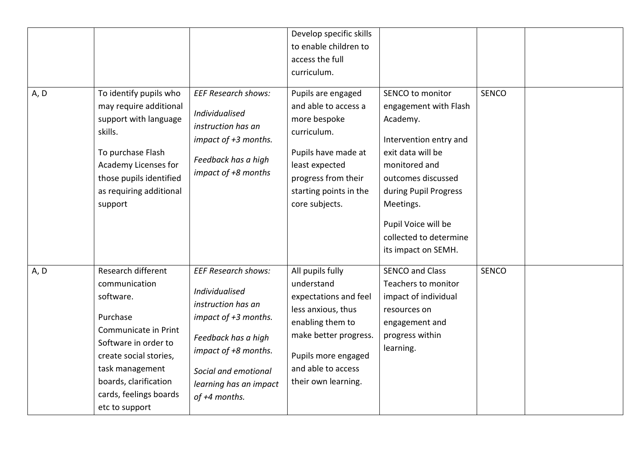|      |                                                                                                                                                                                                                                |                                                                                                                                                                                                                     | Develop specific skills<br>to enable children to<br>access the full<br>curriculum.                                                                                                             |                                                                                                                                                                                                                                                           |              |  |
|------|--------------------------------------------------------------------------------------------------------------------------------------------------------------------------------------------------------------------------------|---------------------------------------------------------------------------------------------------------------------------------------------------------------------------------------------------------------------|------------------------------------------------------------------------------------------------------------------------------------------------------------------------------------------------|-----------------------------------------------------------------------------------------------------------------------------------------------------------------------------------------------------------------------------------------------------------|--------------|--|
| A, D | To identify pupils who<br>may require additional<br>support with language<br>skills.<br>To purchase Flash<br>Academy Licenses for<br>those pupils identified<br>as requiring additional<br>support                             | <b>EEF Research shows:</b><br>Individualised<br>instruction has an<br>impact of +3 months.<br>Feedback has a high<br>impact of +8 months                                                                            | Pupils are engaged<br>and able to access a<br>more bespoke<br>curriculum.<br>Pupils have made at<br>least expected<br>progress from their<br>starting points in the<br>core subjects.          | SENCO to monitor<br>engagement with Flash<br>Academy.<br>Intervention entry and<br>exit data will be<br>monitored and<br>outcomes discussed<br>during Pupil Progress<br>Meetings.<br>Pupil Voice will be<br>collected to determine<br>its impact on SEMH. | <b>SENCO</b> |  |
| A, D | Research different<br>communication<br>software.<br>Purchase<br>Communicate in Print<br>Software in order to<br>create social stories,<br>task management<br>boards, clarification<br>cards, feelings boards<br>etc to support | <b>EEF Research shows:</b><br><b>Individualised</b><br>instruction has an<br>impact of +3 months.<br>Feedback has a high<br>impact of +8 months.<br>Social and emotional<br>learning has an impact<br>of +4 months. | All pupils fully<br>understand<br>expectations and feel<br>less anxious, thus<br>enabling them to<br>make better progress.<br>Pupils more engaged<br>and able to access<br>their own learning. | <b>SENCO and Class</b><br>Teachers to monitor<br>impact of individual<br>resources on<br>engagement and<br>progress within<br>learning.                                                                                                                   | <b>SENCO</b> |  |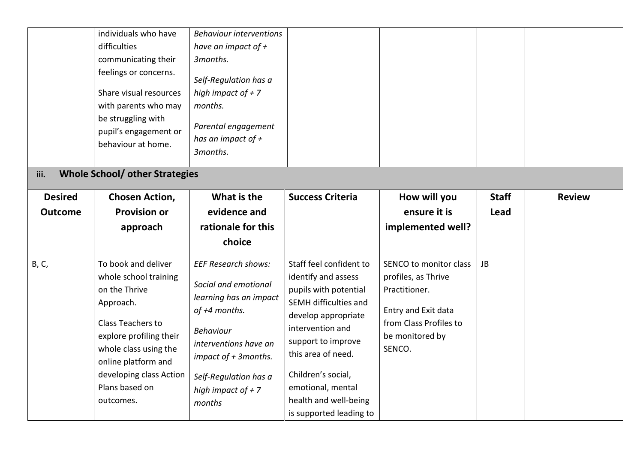|                | individuals who have<br>difficulties<br>communicating their<br>feelings or concerns.<br>Share visual resources<br>with parents who may<br>be struggling with<br>pupil's engagement or<br>behaviour at home. | <b>Behaviour interventions</b><br>have an impact of $+$<br>3months.<br>Self-Regulation has a<br>high impact of $+ 7$<br>months.<br>Parental engagement<br>has an impact of $+$<br>3months. |                                                                                                                                                                   |                                                                                                                                    |              |               |
|----------------|-------------------------------------------------------------------------------------------------------------------------------------------------------------------------------------------------------------|--------------------------------------------------------------------------------------------------------------------------------------------------------------------------------------------|-------------------------------------------------------------------------------------------------------------------------------------------------------------------|------------------------------------------------------------------------------------------------------------------------------------|--------------|---------------|
| iii.           | <b>Whole School/ other Strategies</b>                                                                                                                                                                       |                                                                                                                                                                                            |                                                                                                                                                                   |                                                                                                                                    |              |               |
| <b>Desired</b> | <b>Chosen Action,</b>                                                                                                                                                                                       | What is the                                                                                                                                                                                | <b>Success Criteria</b>                                                                                                                                           | How will you                                                                                                                       | <b>Staff</b> | <b>Review</b> |
| <b>Outcome</b> | <b>Provision or</b>                                                                                                                                                                                         | evidence and                                                                                                                                                                               |                                                                                                                                                                   | ensure it is                                                                                                                       | Lead         |               |
|                | approach                                                                                                                                                                                                    | rationale for this                                                                                                                                                                         |                                                                                                                                                                   | implemented well?                                                                                                                  |              |               |
|                |                                                                                                                                                                                                             | choice                                                                                                                                                                                     |                                                                                                                                                                   |                                                                                                                                    |              |               |
| B, C,          | To book and deliver<br>whole school training<br>on the Thrive<br>Approach.<br>Class Teachers to<br>explore profiling their                                                                                  | <b>EEF Research shows:</b><br>Social and emotional<br>learning has an impact<br>of +4 months.<br><b>Behaviour</b>                                                                          | Staff feel confident to<br>identify and assess<br>pupils with potential<br>SEMH difficulties and<br>develop appropriate<br>intervention and<br>support to improve | SENCO to monitor class<br>profiles, as Thrive<br>Practitioner.<br>Entry and Exit data<br>from Class Profiles to<br>be monitored by | <b>JB</b>    |               |